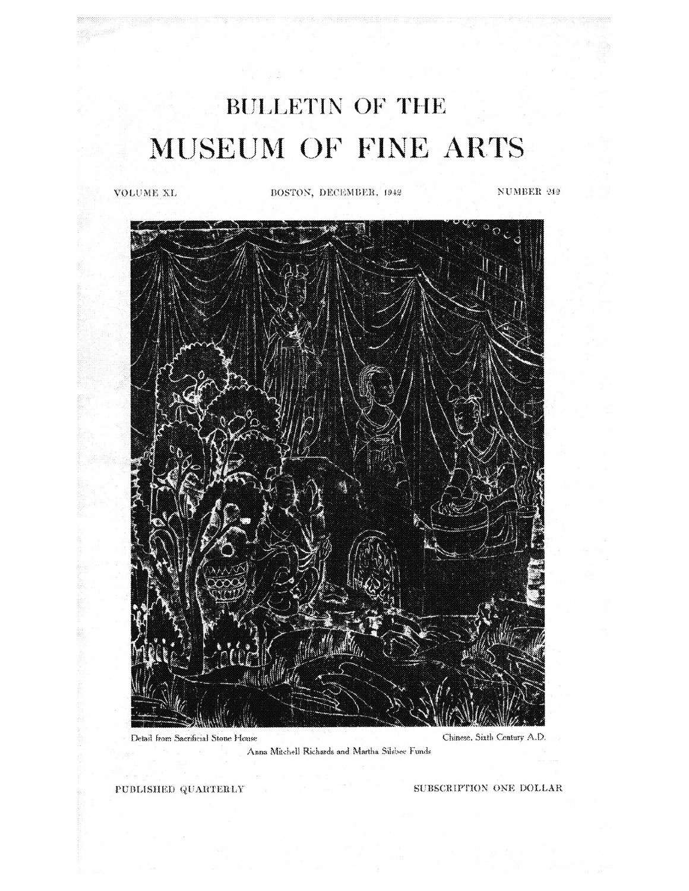# **BULLETIN OF THE** MUSEUM OF FINE ARTS

할인 것 없는 환자 - 그는

a provinci provinci gli contanti

*XL,* **BOSTON, DECEMBER, 1942 NUMBER 212** 



**Anna Mitchell Richards and Martha Silsbee Funds** 

PUBLISHED QUARTERLY SUBSCRIPTION ONE DOLLAR